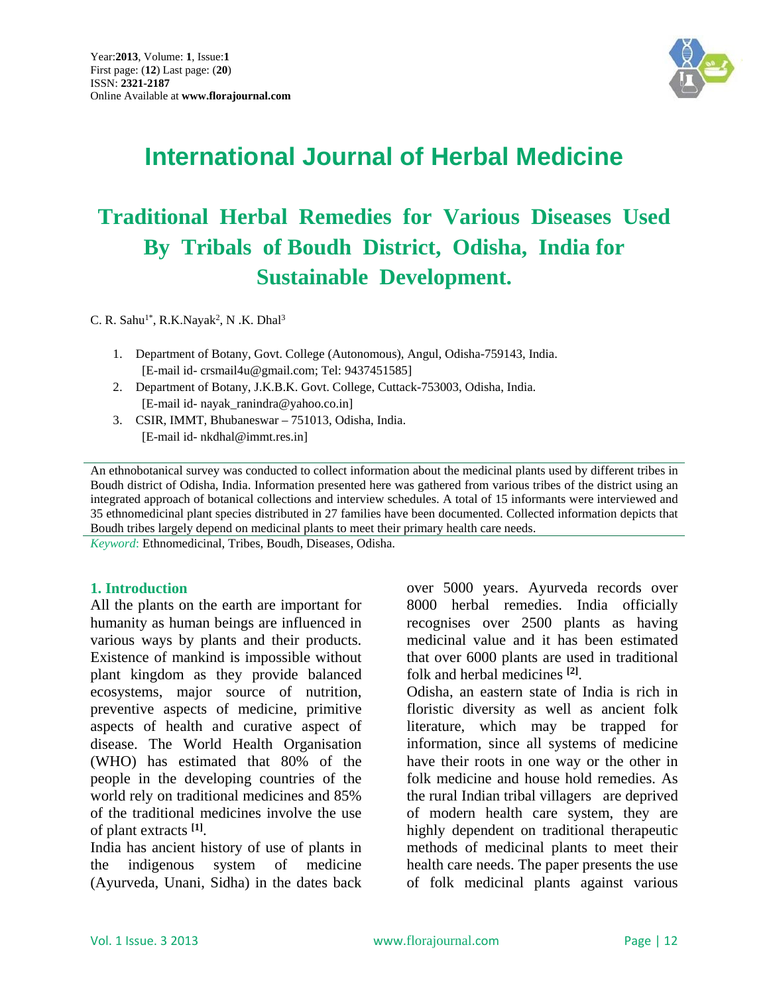

# **International Journal of Herbal Medicine**

# **Traditional Herbal Remedies for Various Diseases Used By Tribals of Boudh District, Odisha, India for Sustainable Development.**

C. R. Sahu<sup>1\*</sup>, R.K.Nayak<sup>2</sup>, N.K. Dhal<sup>3</sup>

- 1. Department of Botany, Govt. College (Autonomous), Angul, Odisha-759143, India. [E-mail id- crsmail4u@gmail.com; Tel: 9437451585]
- 2. Department of Botany, J.K.B.K. Govt. College, Cuttack-753003, Odisha, India. [E-mail id- nayak\_ranindra@yahoo.co.in]
- 3. CSIR, IMMT, Bhubaneswar 751013, Odisha, India. [E-mail id- nkdhal@immt.res.in]

An ethnobotanical survey was conducted to collect information about the medicinal plants used by different tribes in Boudh district of Odisha, India. Information presented here was gathered from various tribes of the district using an integrated approach of botanical collections and interview schedules. A total of 15 informants were interviewed and 35 ethnomedicinal plant species distributed in 27 families have been documented. Collected information depicts that Boudh tribes largely depend on medicinal plants to meet their primary health care needs.

*Keyword*: Ethnomedicinal, Tribes, Boudh, Diseases, Odisha.

#### **1. Introduction**

All the plants on the earth are important for humanity as human beings are influenced in various ways by plants and their products. Existence of mankind is impossible without plant kingdom as they provide balanced ecosystems, major source of nutrition, preventive aspects of medicine, primitive aspects of health and curative aspect of disease. The World Health Organisation (WHO) has estimated that 80% of the people in the developing countries of the world rely on traditional medicines and 85% of the traditional medicines involve the use of plant extracts **[1]**.

India has ancient history of use of plants in the indigenous system of medicine (Ayurveda, Unani, Sidha) in the dates back over 5000 years. Ayurveda records over 8000 herbal remedies. India officially recognises over 2500 plants as having medicinal value and it has been estimated that over 6000 plants are used in traditional folk and herbal medicines **[2]**.

Odisha, an eastern state of India is rich in floristic diversity as well as ancient folk literature, which may be trapped for information, since all systems of medicine have their roots in one way or the other in folk medicine and house hold remedies. As the rural Indian tribal villagers are deprived of modern health care system, they are highly dependent on traditional therapeutic methods of medicinal plants to meet their health care needs. The paper presents the use of folk medicinal plants against various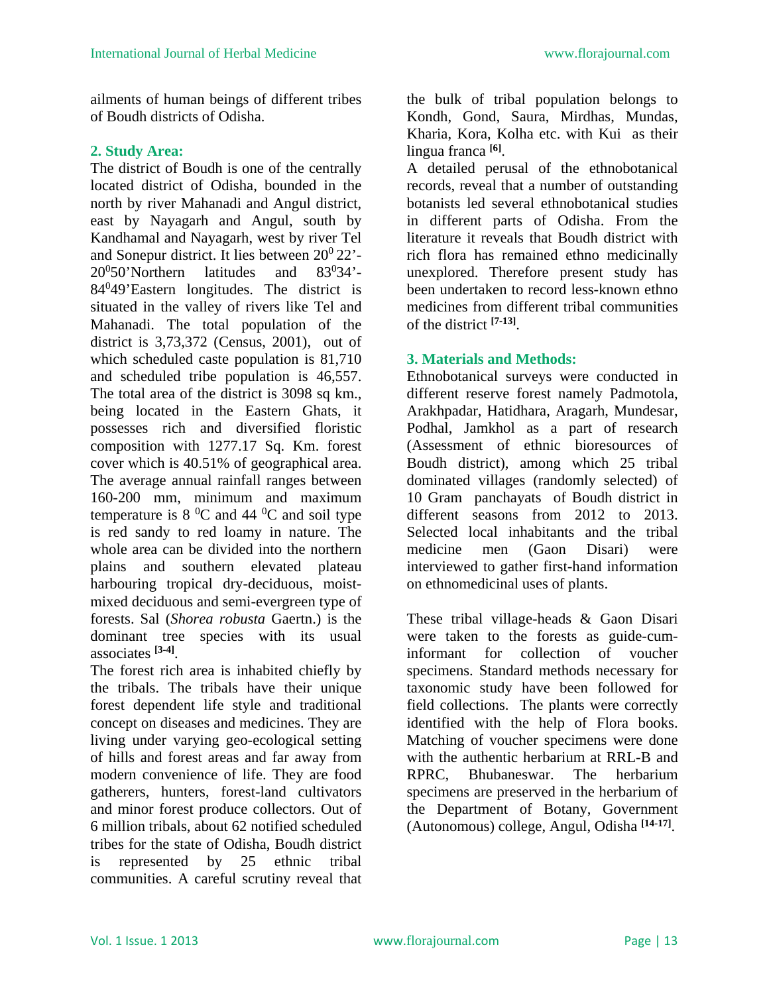ailments of human beings of different tribes of Boudh districts of Odisha.

### **2. Study Area:**

The district of Boudh is one of the centrally located district of Odisha, bounded in the north by river Mahanadi and Angul district, east by Nayagarh and Angul, south by Kandhamal and Nayagarh, west by river Tel and Sonepur district. It lies between  $20^0 22$ '- $20^0$ 50'Northern latitudes and  $83^0$  $83^{0}34'$ -84<sup>0</sup>49'Eastern longitudes. The district is situated in the valley of rivers like Tel and Mahanadi. The total population of the district is 3,73,372 (Census, 2001), out of which scheduled caste population is 81,710 and scheduled tribe population is 46,557. The total area of the district is 3098 sq km., being located in the Eastern Ghats, it possesses rich and diversified floristic composition with 1277.17 Sq. Km. forest cover which is 40.51% of geographical area. The average annual rainfall ranges between 160-200 mm, minimum and maximum temperature is  $8\,^0C$  and  $44\,^0C$  and soil type is red sandy to red loamy in nature. The whole area can be divided into the northern plains and southern elevated plateau harbouring tropical dry-deciduous, moistmixed deciduous and semi-evergreen type of forests. Sal (*Shorea robusta* Gaertn.) is the dominant tree species with its usual associates **[3-4]**.

The forest rich area is inhabited chiefly by the tribals. The tribals have their unique forest dependent life style and traditional concept on diseases and medicines. They are living under varying geo-ecological setting of hills and forest areas and far away from modern convenience of life. They are food gatherers, hunters, forest-land cultivators and minor forest produce collectors. Out of 6 million tribals, about 62 notified scheduled tribes for the state of Odisha, Boudh district is represented by 25 ethnic tribal communities. A careful scrutiny reveal that

the bulk of tribal population belongs to Kondh, Gond, Saura, Mirdhas, Mundas, Kharia, Kora, Kolha etc. with Kui as their lingua franca **[6]**.

A detailed perusal of the ethnobotanical records, reveal that a number of outstanding botanists led several ethnobotanical studies in different parts of Odisha. From the literature it reveals that Boudh district with rich flora has remained ethno medicinally unexplored. Therefore present study has been undertaken to record less-known ethno medicines from different tribal communities of the district **[7-13]**.

## **3. Materials and Methods:**

Ethnobotanical surveys were conducted in different reserve forest namely Padmotola, Arakhpadar, Hatidhara, Aragarh, Mundesar, Podhal, Jamkhol as a part of research (Assessment of ethnic bioresources of Boudh district), among which 25 tribal dominated villages (randomly selected) of 10 Gram panchayats of Boudh district in different seasons from 2012 to 2013. Selected local inhabitants and the tribal medicine men (Gaon Disari) were interviewed to gather first-hand information on ethnomedicinal uses of plants.

These tribal village-heads & Gaon Disari were taken to the forests as guide-cuminformant for collection of voucher specimens. Standard methods necessary for taxonomic study have been followed for field collections. The plants were correctly identified with the help of Flora books. Matching of voucher specimens were done with the authentic herbarium at RRL-B and RPRC, Bhubaneswar. The herbarium specimens are preserved in the herbarium of the Department of Botany, Government (Autonomous) college, Angul, Odisha **[14-17]**.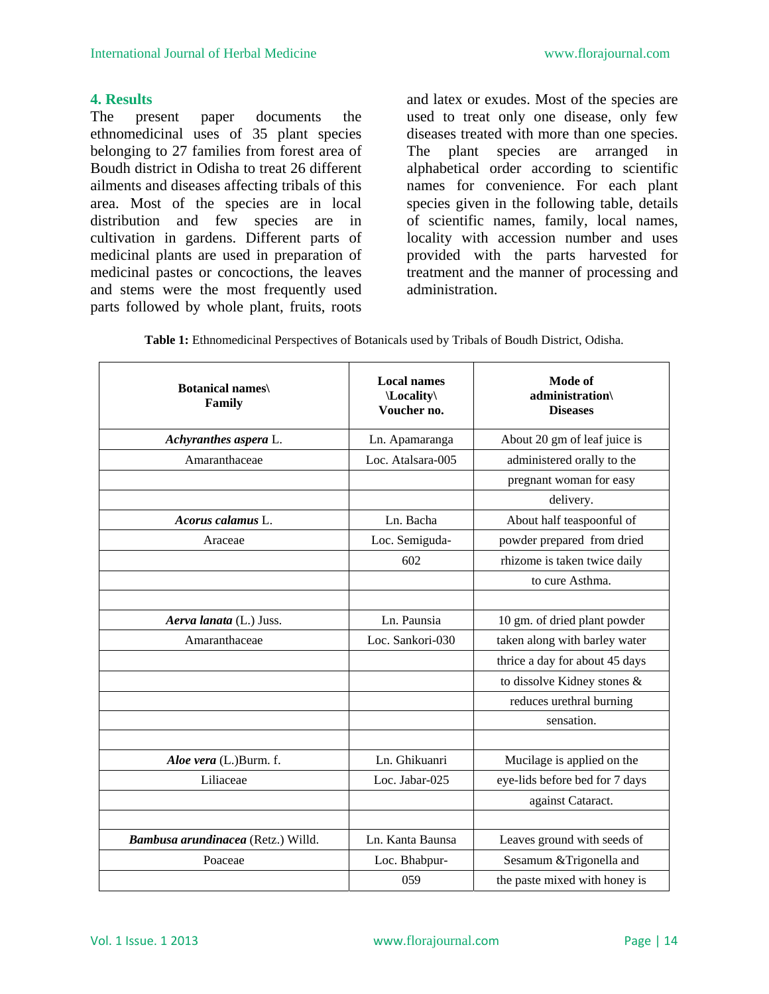### **4. Results**

The present paper documents the ethnomedicinal uses of 35 plant species belonging to 27 families from forest area of Boudh district in Odisha to treat 26 different ailments and diseases affecting tribals of this area. Most of the species are in local distribution and few species are in cultivation in gardens. Different parts of medicinal plants are used in preparation of medicinal pastes or concoctions, the leaves and stems were the most frequently used parts followed by whole plant, fruits, roots

and latex or exudes. Most of the species are used to treat only one disease, only few diseases treated with more than one species. The plant species are arranged in alphabetical order according to scientific names for convenience. For each plant species given in the following table, details of scientific names, family, local names, locality with accession number and uses provided with the parts harvested for treatment and the manner of processing and administration.

| <b>Table 1:</b> Ethnomedicinal Perspectives of Botanicals used by Tribals of Boudh District, Odisha. |
|------------------------------------------------------------------------------------------------------|
|------------------------------------------------------------------------------------------------------|

| <b>Botanical names</b><br>Family   | <b>Local names</b><br>\Locality\<br>Voucher no. | Mode of<br>administration\<br><b>Diseases</b> |
|------------------------------------|-------------------------------------------------|-----------------------------------------------|
| Achyranthes aspera L.              | Ln. Apamaranga                                  | About 20 gm of leaf juice is                  |
| Amaranthaceae                      | Loc. Atalsara-005                               | administered orally to the                    |
|                                    |                                                 | pregnant woman for easy                       |
|                                    |                                                 | delivery.                                     |
| Acorus calamus L.                  | Ln. Bacha                                       | About half teaspoonful of                     |
| Araceae                            | Loc. Semiguda-                                  | powder prepared from dried                    |
|                                    | 602                                             | rhizome is taken twice daily                  |
|                                    |                                                 | to cure Asthma.                               |
|                                    |                                                 |                                               |
| Aerva lanata (L.) Juss.            | Ln. Paunsia                                     | 10 gm. of dried plant powder                  |
| Amaranthaceae                      | Loc. Sankori-030                                | taken along with barley water                 |
|                                    |                                                 | thrice a day for about 45 days                |
|                                    |                                                 | to dissolve Kidney stones &                   |
|                                    |                                                 | reduces urethral burning                      |
|                                    |                                                 | sensation.                                    |
|                                    |                                                 |                                               |
| Aloe vera (L.)Burm. f.             | Ln. Ghikuanri                                   | Mucilage is applied on the                    |
| Liliaceae                          | Loc. Jabar-025                                  | eye-lids before bed for 7 days                |
|                                    |                                                 | against Cataract.                             |
|                                    |                                                 |                                               |
| Bambusa arundinacea (Retz.) Willd. | Ln. Kanta Baunsa                                | Leaves ground with seeds of                   |
| Poaceae                            | Loc. Bhabpur-                                   | Sesamum & Trigonella and                      |
|                                    | 059                                             | the paste mixed with honey is                 |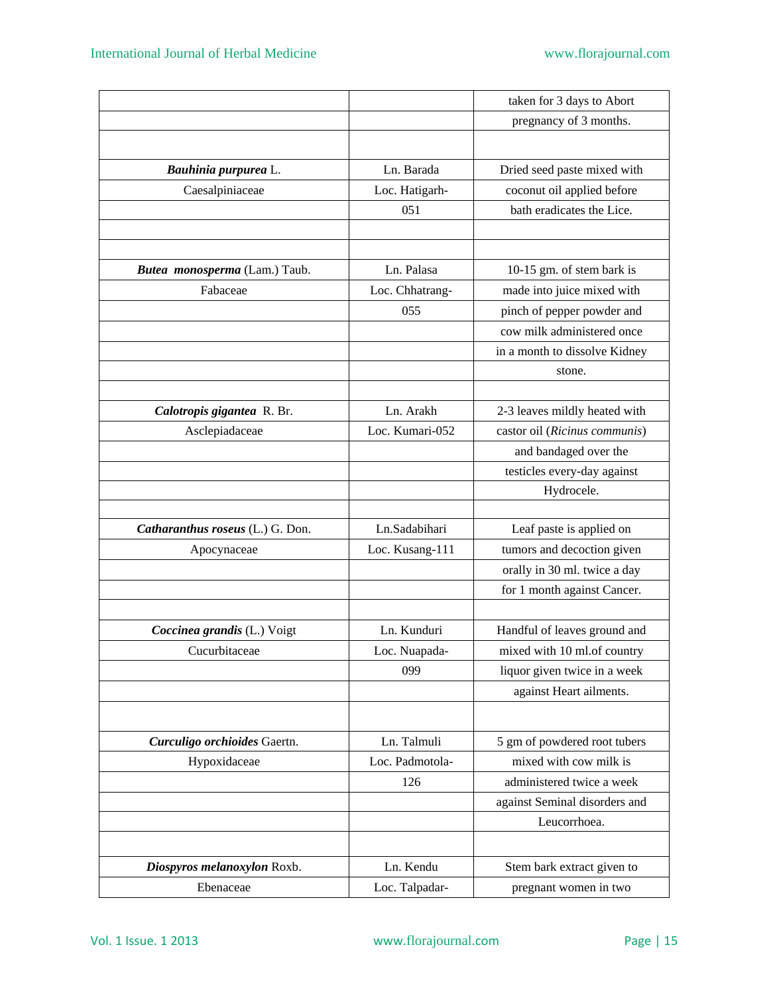|                                  |                 | taken for 3 days to Abort     |
|----------------------------------|-----------------|-------------------------------|
|                                  |                 | pregnancy of 3 months.        |
|                                  |                 |                               |
| Bauhinia purpurea L.             | Ln. Barada      | Dried seed paste mixed with   |
| Caesalpiniaceae                  | Loc. Hatigarh-  | coconut oil applied before    |
|                                  | 051             | bath eradicates the Lice.     |
|                                  |                 |                               |
|                                  |                 |                               |
| Butea monosperma (Lam.) Taub.    | Ln. Palasa      | 10-15 gm. of stem bark is     |
| Fabaceae                         | Loc. Chhatrang- | made into juice mixed with    |
|                                  | 055             | pinch of pepper powder and    |
|                                  |                 | cow milk administered once    |
|                                  |                 | in a month to dissolve Kidney |
|                                  |                 | stone.                        |
|                                  |                 |                               |
| Calotropis gigantea R. Br.       | Ln. Arakh       | 2-3 leaves mildly heated with |
| Asclepiadaceae                   | Loc. Kumari-052 | castor oil (Ricinus communis) |
|                                  |                 | and bandaged over the         |
|                                  |                 | testicles every-day against   |
|                                  |                 | Hydrocele.                    |
|                                  |                 |                               |
| Catharanthus roseus (L.) G. Don. | Ln.Sadabihari   | Leaf paste is applied on      |
| Apocynaceae                      | Loc. Kusang-111 | tumors and decoction given    |
|                                  |                 | orally in 30 ml. twice a day  |
|                                  |                 | for 1 month against Cancer.   |
|                                  |                 |                               |
| Coccinea grandis (L.) Voigt      | Ln. Kunduri     | Handful of leaves ground and  |
| Cucurbitaceae                    | Loc. Nuapada-   | mixed with 10 ml.of country   |
|                                  | 099             | liquor given twice in a week  |
|                                  |                 | against Heart ailments.       |
|                                  |                 |                               |
| Curculigo orchioides Gaertn.     | Ln. Talmuli     | 5 gm of powdered root tubers  |
| Hypoxidaceae                     | Loc. Padmotola- | mixed with cow milk is        |
|                                  | 126             | administered twice a week     |
|                                  |                 | against Seminal disorders and |
|                                  |                 | Leucorrhoea.                  |
|                                  |                 |                               |
| Diospyros melanoxylon Roxb.      | Ln. Kendu       | Stem bark extract given to    |
| Ebenaceae                        | Loc. Talpadar-  | pregnant women in two         |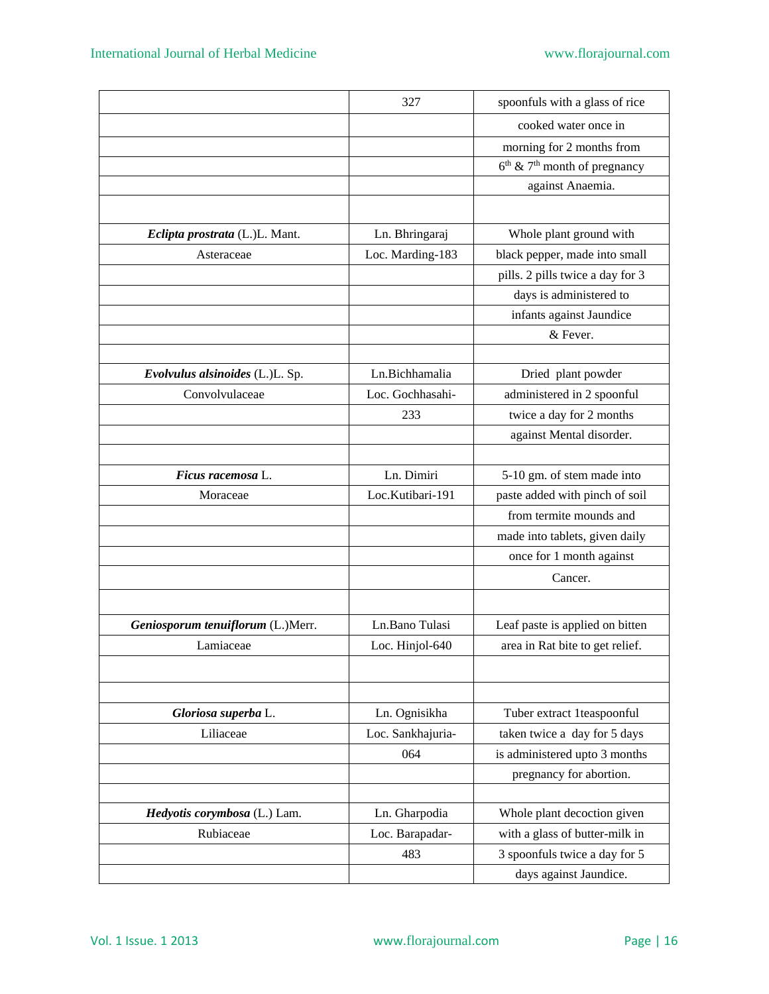|                                   | 327               | spoonfuls with a glass of rice             |
|-----------------------------------|-------------------|--------------------------------------------|
|                                   |                   | cooked water once in                       |
|                                   |                   | morning for 2 months from                  |
|                                   |                   | $6th$ & 7 <sup>th</sup> month of pregnancy |
|                                   |                   | against Anaemia.                           |
|                                   |                   |                                            |
| Eclipta prostrata (L.)L. Mant.    | Ln. Bhringaraj    | Whole plant ground with                    |
| Asteraceae                        | Loc. Marding-183  | black pepper, made into small              |
|                                   |                   | pills. 2 pills twice a day for 3           |
|                                   |                   | days is administered to                    |
|                                   |                   | infants against Jaundice                   |
|                                   |                   | & Fever.                                   |
|                                   |                   |                                            |
| Evolvulus alsinoides (L.)L. Sp.   | Ln.Bichhamalia    | Dried plant powder                         |
| Convolvulaceae                    | Loc. Gochhasahi-  | administered in 2 spoonful                 |
|                                   | 233               | twice a day for 2 months                   |
|                                   |                   | against Mental disorder.                   |
|                                   |                   |                                            |
| Ficus racemosa L.                 | Ln. Dimiri        | 5-10 gm. of stem made into                 |
| Moraceae                          | Loc.Kutibari-191  | paste added with pinch of soil             |
|                                   |                   | from termite mounds and                    |
|                                   |                   | made into tablets, given daily             |
|                                   |                   | once for 1 month against                   |
|                                   |                   | Cancer.                                    |
|                                   |                   |                                            |
| Geniosporum tenuiflorum (L.)Merr. | Ln.Bano Tulasi    | Leaf paste is applied on bitten            |
| Lamiaceae                         | Loc. Hinjol-640   | area in Rat bite to get relief.            |
|                                   |                   |                                            |
|                                   |                   |                                            |
| Gloriosa superba L.               | Ln. Ognisikha     | Tuber extract 1teaspoonful                 |
| Liliaceae                         | Loc. Sankhajuria- | taken twice a day for 5 days               |
|                                   | 064               | is administered upto 3 months              |
|                                   |                   | pregnancy for abortion.                    |
|                                   |                   |                                            |
| Hedyotis corymbosa (L.) Lam.      | Ln. Gharpodia     | Whole plant decoction given                |
| Rubiaceae                         | Loc. Barapadar-   | with a glass of butter-milk in             |
|                                   | 483               | 3 spoonfuls twice a day for 5              |
|                                   |                   | days against Jaundice.                     |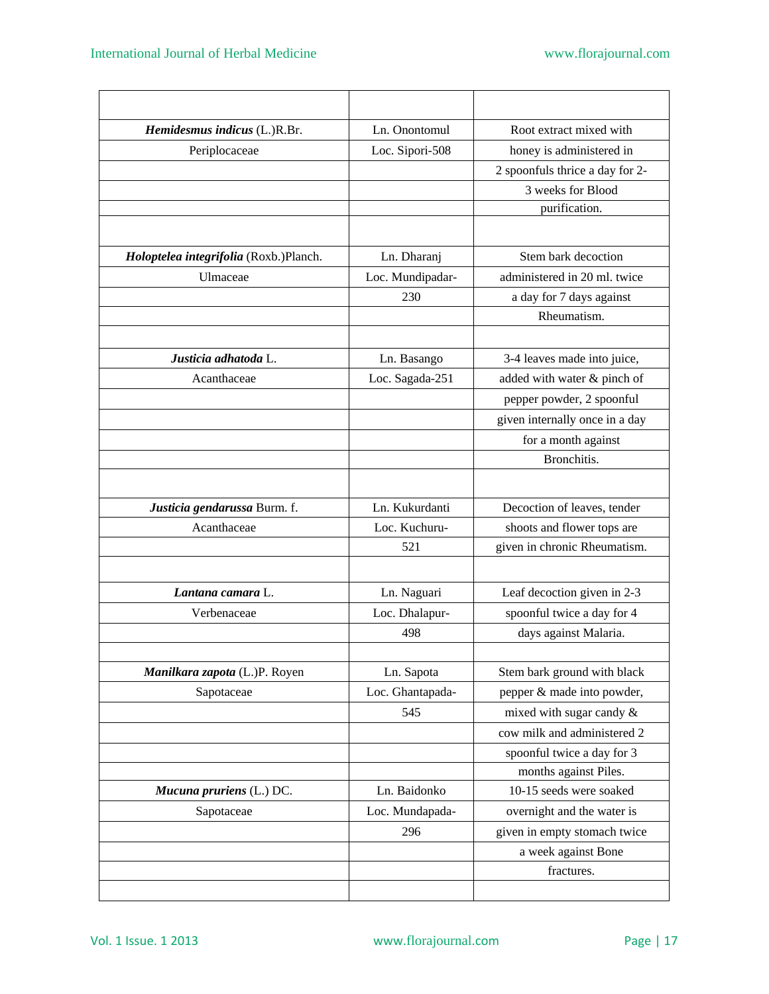| Hemidesmus indicus (L.)R.Br.           | Ln. Onontomul    | Root extract mixed with         |
|----------------------------------------|------------------|---------------------------------|
| Periplocaceae                          | Loc. Sipori-508  | honey is administered in        |
|                                        |                  | 2 spoonfuls thrice a day for 2- |
|                                        |                  | 3 weeks for Blood               |
|                                        |                  | purification.                   |
|                                        |                  |                                 |
| Holoptelea integrifolia (Roxb.)Planch. | Ln. Dharanj      | Stem bark decoction             |
| Ulmaceae                               | Loc. Mundipadar- | administered in 20 ml. twice    |
|                                        | 230              | a day for 7 days against        |
|                                        |                  | Rheumatism.                     |
|                                        |                  |                                 |
| Justicia adhatoda L.                   | Ln. Basango      | 3-4 leaves made into juice,     |
| Acanthaceae                            | Loc. Sagada-251  | added with water & pinch of     |
|                                        |                  | pepper powder, 2 spoonful       |
|                                        |                  | given internally once in a day  |
|                                        |                  | for a month against             |
|                                        |                  | Bronchitis.                     |
|                                        |                  |                                 |
| Justicia gendarussa Burm. f.           | Ln. Kukurdanti   | Decoction of leaves, tender     |
| Acanthaceae                            | Loc. Kuchuru-    | shoots and flower tops are      |
|                                        | 521              | given in chronic Rheumatism.    |
|                                        |                  |                                 |
| Lantana camara L.                      | Ln. Naguari      | Leaf decoction given in 2-3     |
| Verbenaceae                            | Loc. Dhalapur-   | spoonful twice a day for 4      |
|                                        | 498              | days against Malaria.           |
|                                        |                  |                                 |
| Manilkara zapota (L.)P. Royen          | Ln. Sapota       | Stem bark ground with black     |
| Sapotaceae                             | Loc. Ghantapada- | pepper & made into powder,      |
|                                        | 545              | mixed with sugar candy &        |
|                                        |                  | cow milk and administered 2     |
|                                        |                  | spoonful twice a day for 3      |
|                                        |                  | months against Piles.           |
| Mucuna pruriens (L.) DC.               | Ln. Baidonko     | 10-15 seeds were soaked         |
| Sapotaceae                             | Loc. Mundapada-  | overnight and the water is      |
|                                        | 296              | given in empty stomach twice    |
|                                        |                  | a week against Bone             |
|                                        |                  | fractures.                      |
|                                        |                  |                                 |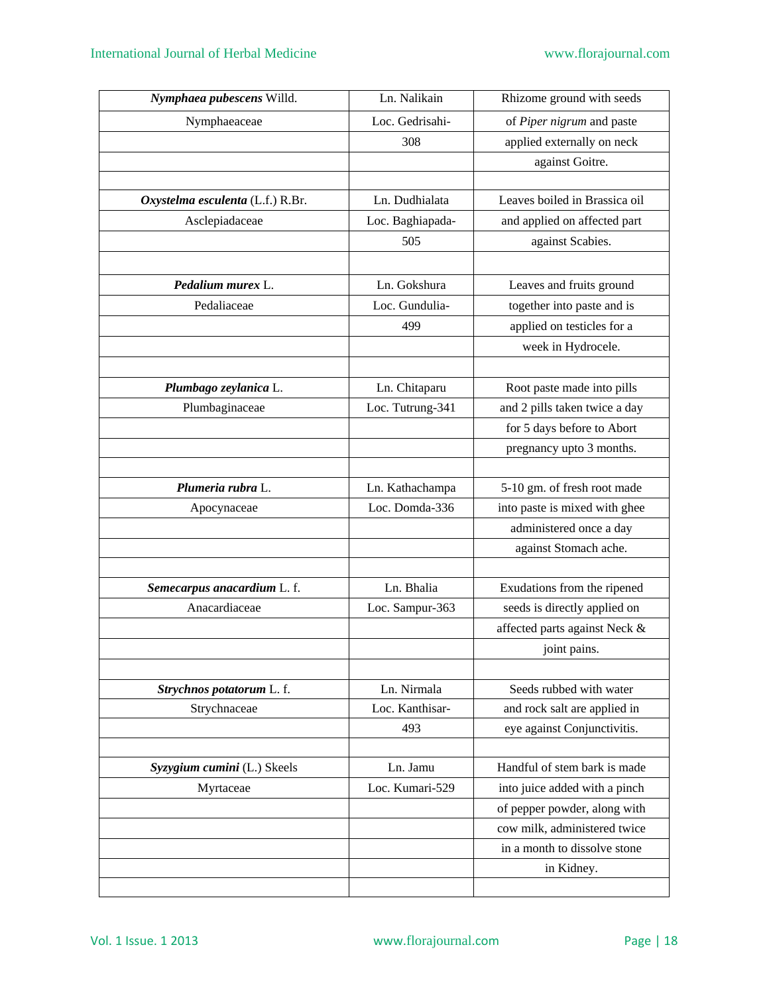| Nymphaea pubescens Willd.        | Ln. Nalikain     | Rhizome ground with seeds     |
|----------------------------------|------------------|-------------------------------|
| Nymphaeaceae                     | Loc. Gedrisahi-  | of Piper nigrum and paste     |
|                                  | 308              | applied externally on neck    |
|                                  |                  | against Goitre.               |
|                                  |                  |                               |
| Oxystelma esculenta (L.f.) R.Br. | Ln. Dudhialata   | Leaves boiled in Brassica oil |
| Asclepiadaceae                   | Loc. Baghiapada- | and applied on affected part  |
|                                  | 505              | against Scabies.              |
|                                  |                  |                               |
| Pedalium murex L.                | Ln. Gokshura     | Leaves and fruits ground      |
| Pedaliaceae                      | Loc. Gundulia-   | together into paste and is    |
|                                  | 499              | applied on testicles for a    |
|                                  |                  | week in Hydrocele.            |
|                                  |                  |                               |
| Plumbago zeylanica L.            | Ln. Chitaparu    | Root paste made into pills    |
| Plumbaginaceae                   | Loc. Tutrung-341 | and 2 pills taken twice a day |
|                                  |                  | for 5 days before to Abort    |
|                                  |                  | pregnancy upto 3 months.      |
|                                  |                  |                               |
| Plumeria rubra L.                | Ln. Kathachampa  | 5-10 gm. of fresh root made   |
| Apocynaceae                      | Loc. Domda-336   | into paste is mixed with ghee |
|                                  |                  | administered once a day       |
|                                  |                  | against Stomach ache.         |
|                                  |                  |                               |
| Semecarpus anacardium L. f.      | Ln. Bhalia       | Exudations from the ripened   |
| Anacardiaceae                    | Loc. Sampur-363  | seeds is directly applied on  |
|                                  |                  | affected parts against Neck & |
|                                  |                  | joint pains.                  |
|                                  |                  |                               |
| Strychnos potatorum L. f.        | Ln. Nirmala      | Seeds rubbed with water       |
| Strychnaceae                     | Loc. Kanthisar-  | and rock salt are applied in  |
|                                  | 493              | eye against Conjunctivitis.   |
|                                  |                  |                               |
| Syzygium cumini (L.) Skeels      | Ln. Jamu         | Handful of stem bark is made  |
| Myrtaceae                        | Loc. Kumari-529  | into juice added with a pinch |
|                                  |                  | of pepper powder, along with  |
|                                  |                  | cow milk, administered twice  |
|                                  |                  | in a month to dissolve stone  |
|                                  |                  | in Kidney.                    |
|                                  |                  |                               |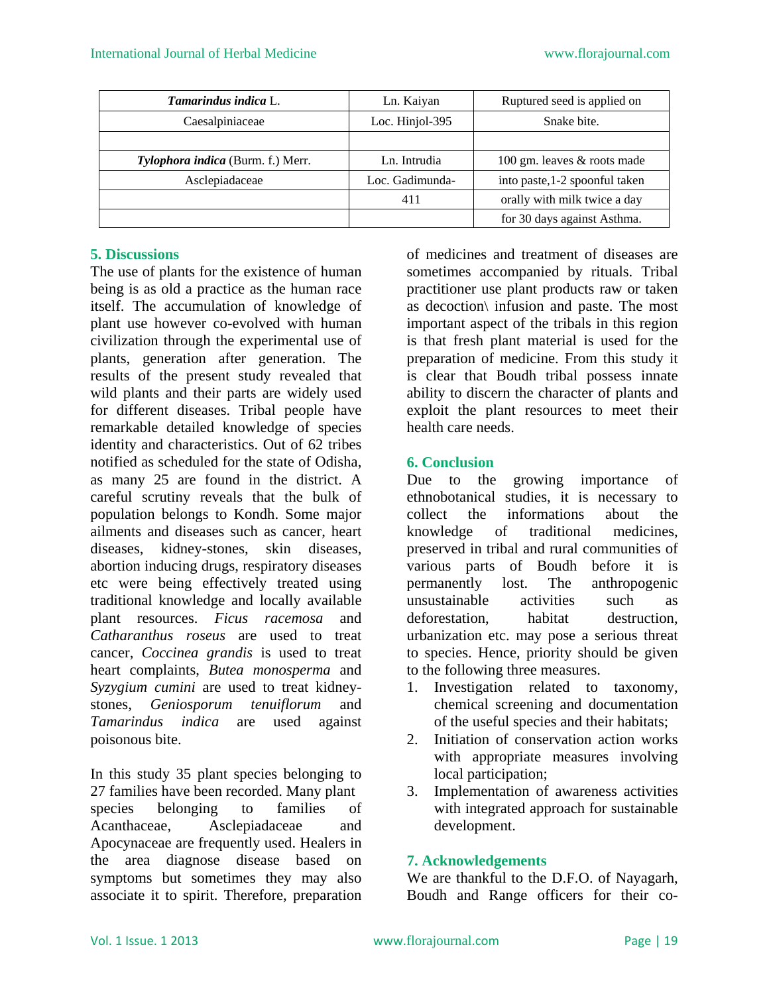| Tamarindus indica L.                     | Ln. Kaiyan         | Ruptured seed is applied on    |
|------------------------------------------|--------------------|--------------------------------|
| Caesalpiniaceae                          | Loc. Hinjol- $395$ | Snake bite.                    |
|                                          |                    |                                |
| <b>Tylophora indica</b> (Burm. f.) Merr. | Ln. Intrudia       | 100 gm. leaves & roots made    |
| Asclepiadaceae                           | Loc. Gadimunda-    | into paste, 1-2 spoonful taken |
|                                          | 411                | orally with milk twice a day   |
|                                          |                    | for 30 days against Asthma.    |

### **5. Discussions**

The use of plants for the existence of human being is as old a practice as the human race itself. The accumulation of knowledge of plant use however co-evolved with human civilization through the experimental use of plants, generation after generation. The results of the present study revealed that wild plants and their parts are widely used for different diseases. Tribal people have remarkable detailed knowledge of species identity and characteristics. Out of 62 tribes notified as scheduled for the state of Odisha, as many 25 are found in the district. A careful scrutiny reveals that the bulk of population belongs to Kondh. Some major ailments and diseases such as cancer, heart diseases, kidney-stones, skin diseases, abortion inducing drugs, respiratory diseases etc were being effectively treated using traditional knowledge and locally available plant resources. *Ficus racemosa* and *Catharanthus roseus* are used to treat cancer, *Coccinea grandis* is used to treat heart complaints, *Butea monosperma* and *Syzygium cumini* are used to treat kidneystones, *Geniosporum tenuiflorum* and *Tamarindus indica* are used against poisonous bite.

In this study 35 plant species belonging to 27 families have been recorded. Many plant species belonging to families of Acanthaceae, Asclepiadaceae and Apocynaceae are frequently used. Healers in the area diagnose disease based on symptoms but sometimes they may also associate it to spirit. Therefore, preparation

of medicines and treatment of diseases are sometimes accompanied by rituals. Tribal practitioner use plant products raw or taken as decoction\ infusion and paste. The most important aspect of the tribals in this region is that fresh plant material is used for the preparation of medicine. From this study it is clear that Boudh tribal possess innate ability to discern the character of plants and exploit the plant resources to meet their health care needs.

#### **6. Conclusion**

Due to the growing importance of ethnobotanical studies, it is necessary to collect the informations about the knowledge of traditional medicines, preserved in tribal and rural communities of various parts of Boudh before it is permanently lost. The anthropogenic unsustainable activities such as deforestation, habitat destruction, urbanization etc. may pose a serious threat to species. Hence, priority should be given to the following three measures.

- 1. Investigation related to taxonomy, chemical screening and documentation of the useful species and their habitats;
- 2. Initiation of conservation action works with appropriate measures involving local participation;
- 3. Implementation of awareness activities with integrated approach for sustainable development.

#### **7. Acknowledgements**

We are thankful to the D.F.O. of Nayagarh, Boudh and Range officers for their co